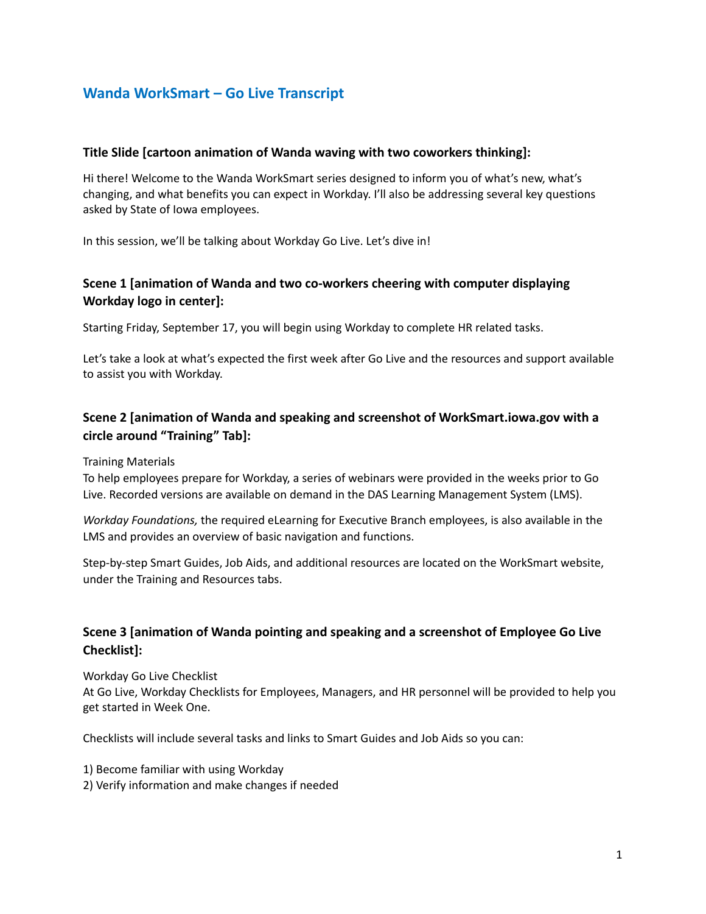# **Wanda WorkSmart – Go Live Transcript**

#### **Title Slide [cartoon animation of Wanda waving with two coworkers thinking]:**

Hi there! Welcome to the Wanda WorkSmart series designed to inform you of what's new, what's changing, and what benefits you can expect in Workday. I'll also be addressing several key questions asked by State of Iowa employees.

In this session, we'll be talking about Workday Go Live. Let's dive in!

# **Scene 1 [animation of Wanda and two co-workers cheering with computer displaying Workday logo in center]:**

Starting Friday, September 17, you will begin using Workday to complete HR related tasks.

Let's take a look at what's expected the first week after Go Live and the resources and support available to assist you with Workday.

# **Scene 2 [animation of Wanda and speaking and screenshot of WorkSmart.iowa.gov with a circle around "Training" Tab]:**

Training Materials

To help employees prepare for Workday, a series of webinars were provided in the weeks prior to Go Live. Recorded versions are available on demand in the DAS Learning Management System (LMS).

*Workday Foundations,* the required eLearning for Executive Branch employees, is also available in the LMS and provides an overview of basic navigation and functions.

Step-by-step Smart Guides, Job Aids, and additional resources are located on the WorkSmart website, under the Training and Resources tabs.

# **Scene 3 [animation of Wanda pointing and speaking and a screenshot of Employee Go Live Checklist]:**

Workday Go Live Checklist

At Go Live, Workday Checklists for Employees, Managers, and HR personnel will be provided to help you get started in Week One.

Checklists will include several tasks and links to Smart Guides and Job Aids so you can:

- 1) Become familiar with using Workday
- 2) Verify information and make changes if needed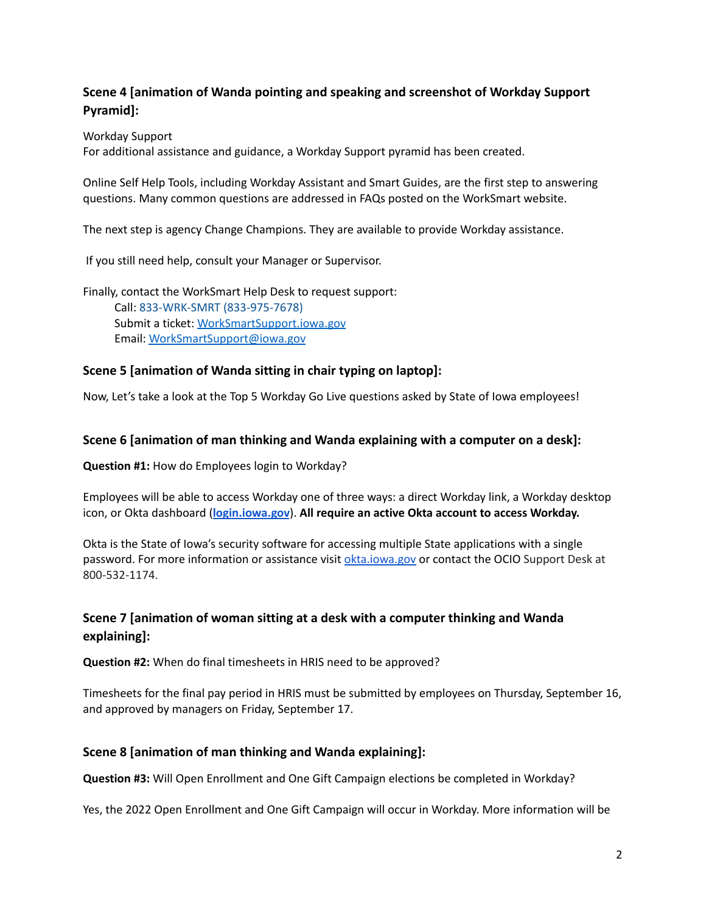### **Scene 4 [animation of Wanda pointing and speaking and screenshot of Workday Support Pyramid]:**

Workday Support

For additional assistance and guidance, a Workday Support pyramid has been created.

Online Self Help Tools, including Workday Assistant and Smart Guides, are the first step to answering questions. Many common questions are addressed in FAQs posted on the WorkSmart website.

The next step is agency Change Champions. They are available to provide Workday assistance.

If you still need help, consult your Manager or Supervisor.

Finally, contact the WorkSmart Help Desk to request support: Call: 833-WRK-SMRT (833-975-7678) Submit a ticket: [WorkSmartSupport.iowa.gov](http://worksmartsupport.iowa.gov) Email: [WorkSmartSupport@iowa.gov](mailto:WorkSmartSupport@iowa.gov)

#### **Scene 5 [animation of Wanda sitting in chair typing on laptop]:**

Now, Let's take a look at the Top 5 Workday Go Live questions asked by State of Iowa employees!

#### **Scene 6 [animation of man thinking and Wanda explaining with a computer on a desk]:**

**Question #1:** How do Employees login to Workday?

Employees will be able to access Workday one of three ways: a direct Workday link, a Workday desktop icon, or Okta dashboard (**[login.iowa.gov](http://login.iowa.gov)**). **All require an active Okta account to access Workday.**

Okta is the State of Iowa's security software for accessing multiple State applications with a single password. For more information or assistance visit [okta.iowa.gov](https://okta.iowa.gov/) or contact the OCIO Support Desk at 800-532-1174.

### **Scene 7 [animation of woman sitting at a desk with a computer thinking and Wanda explaining]:**

**Question #2:** When do final timesheets in HRIS need to be approved?

Timesheets for the final pay period in HRIS must be submitted by employees on Thursday, September 16, and approved by managers on Friday, September 17.

#### **Scene 8 [animation of man thinking and Wanda explaining]:**

**Question #3:** Will Open Enrollment and One Gift Campaign elections be completed in Workday?

Yes, the 2022 Open Enrollment and One Gift Campaign will occur in Workday. More information will be